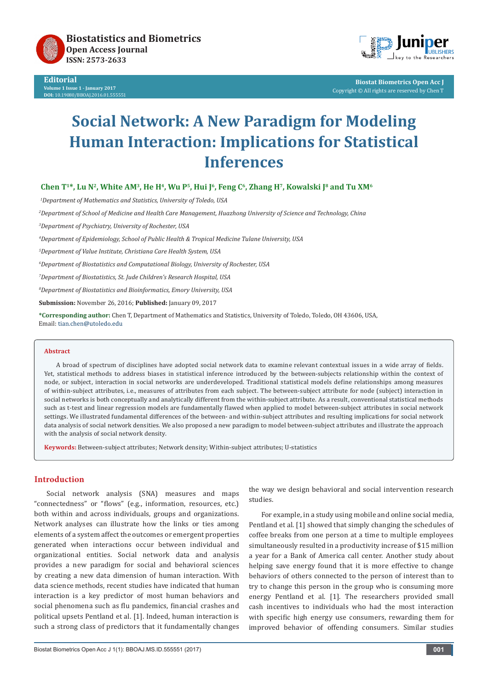

**Editorial Volume 1 Issue 1 - January 2017 DOI:** [10.19080/BBOAJ.2016.01.555551](http://dx.doi.org/10.19080/BBOAJ.2016.01.555551
)



**Biostat Biometrics Open Acc J** Copyright © All rights are reserved by Chen T

# **Social Network: A New Paradigm for Modeling Human Interaction: Implications for Statistical Inferences**

Chen T<sup>1\*</sup>, Lu N<sup>2</sup>, White AM<sup>3</sup>, He H<sup>4</sup>, Wu P<sup>5</sup>, Hui J<sup>6</sup>, Feng C<sup>6</sup>, Zhang H<sup>7</sup>, Kowalski J<sup>8</sup> and Tu XM<sup>6</sup>

*1 Department of Mathematics and Statistics, University of Toledo, USA*

*2 Department of School of Medicine and Health Care Management, Huazhong University of Science and Technology, China*

*3 Department of Psychiatry, University of Rochester, USA*

*4 Department of Epidemiology, School of Public Health & Tropical Medicine Tulane University, USA*

*5 Department of Value Institute, Christiana Care Health System, USA*

*6 Department of Biostatistics and Computational Biology, University of Rochester, USA* 

*7 Department of Biostatistics, St. Jude Children's Research Hospital, USA*

*8 Department of Biostatistics and Bioinformatics, Emory University, USA*

**Submission:** November 26, 2016; **Published:** January 09, 2017

**\*Corresponding author:** Chen T, Department of Mathematics and Statistics, University of Toledo, Toledo, OH 43606, USA, Email: tian.chen@utoledo.edu

#### **Abstract**

A broad of spectrum of disciplines have adopted social network data to examine relevant contextual issues in a wide array of fields. Yet, statistical methods to address biases in statistical inference introduced by the between-subjects relationship within the context of node, or subject, interaction in social networks are underdeveloped. Traditional statistical models define relationships among measures of within-subject attributes, i.e., measures of attributes from each subject. The between-subject attribute for node (subject) interaction in social networks is both conceptually and analytically different from the within-subject attribute. As a result, conventional statistical methods such as t-test and linear regression models are fundamentally flawed when applied to model between-subject attributes in social network settings. We illustrated fundamental differences of the between- and within-subject attributes and resulting implications for social network data analysis of social network densities. We also proposed a new paradigm to model between-subject attributes and illustrate the approach with the analysis of social network density.

**Keywords:** Between-subject attributes; Network density; Within-subject attributes; U-statistics

# **Introduction**

Social network analysis (SNA) measures and maps "connectedness" or "flows" (e.g., information, resources, etc.) both within and across individuals, groups and organizations. Network analyses can illustrate how the links or ties among elements of a system affect the outcomes or emergent properties generated when interactions occur between individual and organizational entities. Social network data and analysis provides a new paradigm for social and behavioral sciences by creating a new data dimension of human interaction. With data science methods, recent studies have indicated that human interaction is a key predictor of most human behaviors and social phenomena such as flu pandemics, financial crashes and political upsets Pentland et al. [1]. Indeed, human interaction is such a strong class of predictors that it fundamentally changes

Biostat Biometrics Open Acc J 1(1): BBOAJ.MS.ID.555551 (2017) **001**

the way we design behavioral and social intervention research studies.

For example, in a study using mobile and online social media, Pentland et al. [1] showed that simply changing the schedules of coffee breaks from one person at a time to multiple employees simultaneously resulted in a productivity increase of \$15 million a year for a Bank of America call center. Another study about helping save energy found that it is more effective to change behaviors of others connected to the person of interest than to try to change this person in the group who is consuming more energy Pentland et al. [1]. The researchers provided small cash incentives to individuals who had the most interaction with specific high energy use consumers, rewarding them for improved behavior of offending consumers. Similar studies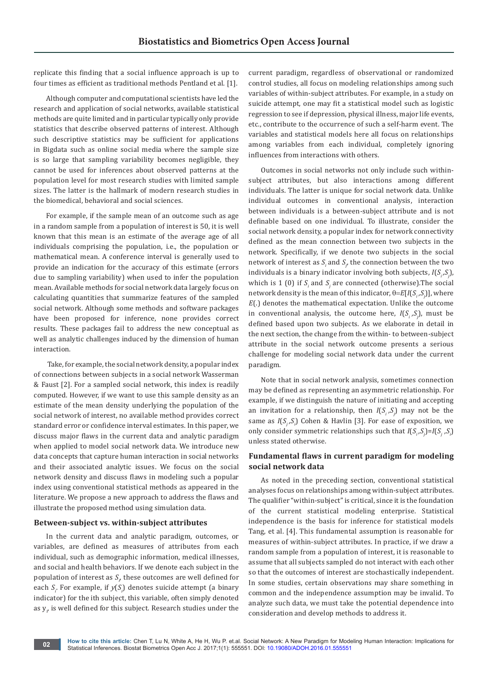replicate this finding that a social influence approach is up to four times as efficient as traditional methods Pentland et al. [1].

Although computer and computational scientists have led the research and application of social networks, available statistical methods are quite limited and in particular typically only provide statistics that describe observed patterns of interest. Although such descriptive statistics may be sufficient for applications in Bigdata such as online social media where the sample size is so large that sampling variability becomes negligible, they cannot be used for inferences about observed patterns at the population level for most research studies with limited sample sizes. The latter is the hallmark of modern research studies in the biomedical, behavioral and social sciences.

For example, if the sample mean of an outcome such as age in a random sample from a population of interest is 50, it is well known that this mean is an estimate of the average age of all individuals comprising the population, i.e., the population or mathematical mean. A conference interval is generally used to provide an indication for the accuracy of this estimate (errors due to sampling variability) when used to infer the population mean. Available methods for social network data largely focus on calculating quantities that summarize features of the sampled social network. Although some methods and software packages have been proposed for inference, none provides correct results. These packages fail to address the new conceptual as well as analytic challenges induced by the dimension of human interaction.

 Take, for example, the social network density, a popular index of connections between subjects in a social network Wasserman & Faust [2]. For a sampled social network, this index is readily computed. However, if we want to use this sample density as an estimate of the mean density underlying the population of the social network of interest, no available method provides correct standard error or confidence interval estimates. In this paper, we discuss major flaws in the current data and analytic paradigm when applied to model social network data. We introduce new data concepts that capture human interaction in social networks and their associated analytic issues. We focus on the social network density and discuss flaws in modeling such a popular index using conventional statistical methods as appeared in the literature. We propose a new approach to address the flaws and illustrate the proposed method using simulation data.

#### **Between-subject vs. within-subject attributes**

In the current data and analytic paradigm, outcomes, or variables, are defined as measures of attributes from each individual, such as demographic information, medical illnesses, and social and health behaviors. If we denote each subject in the population of interest as  $S_{\rho}$  these outcomes are well defined for each  $S_i$ . For example, if  $y(S_i)$  denotes suicide attempt (a binary indicator) for the ith subject, this variable, often simply denoted as  $y_{i'}$  is well defined for this subject. Research studies under the  $\overline{a}$  current paradigm, regardless of observational or randomized control studies, all focus on modeling relationships among such variables of within-subject attributes. For example, in a study on suicide attempt, one may fit a statistical model such as logistic regression to see if depression, physical illness, major life events, etc., contribute to the occurrence of such a self-harm event. The variables and statistical models here all focus on relationships among variables from each individual, completely ignoring influences from interactions with others.

Outcomes in social networks not only include such withinsubject attributes, but also interactions among different individuals. The latter is unique for social network data. Unlike individual outcomes in conventional analysis, interaction between individuals is a between-subject attribute and is not definable based on one individual. To illustrate, consider the social network density, a popular index for network connectivity defined as the mean connection between two subjects in the network. Specifically, if we denote two subjects in the social network of interest as  $S_i$  and  $S_j$ , the connection between the two individuals is a binary indicator involving both subjects,  $I(S_i, S_j)$ , which is 1 (0) if  $S_i$  and  $S_j$  are connected (otherwise). The social network density is the mean of this indicator,  $\theta = E[I(S_i, S_j)]$ , where *E*(.) denotes the mathematical expectation. Unlike the outcome in conventional analysis, the outcome here,  $I(S_i, S_j)$ , must be defined based upon two subjects. As we elaborate in detail in the next section, the change from the within- to between-subject attribute in the social network outcome presents a serious challenge for modeling social network data under the current paradigm.

Note that in social network analysis, sometimes connection may be defined as representing an asymmetric relationship. For example, if we distinguish the nature of initiating and accepting an invitation for a relationship, then  $I(S_i, S_j)$  may not be the same as *I*(*S<sub>j</sub>*,*S<sub>i</sub>*) Cohen & Havlin [3]. For ease of exposition, we only consider symmetric relationships such that  $I(S_i, S_j) = I(S_j, S_i)$ unless stated otherwise.

# **Fundamental flaws in current paradigm for modeling social network data**

As noted in the preceding section, conventional statistical analyses focus on relationships among within-subject attributes. The qualifier "within-subject" is critical, since it is the foundation of the current statistical modeling enterprise. Statistical independence is the basis for inference for statistical models Tang, et al. [4]. This fundamental assumption is reasonable for measures of within-subject attributes. In practice, if we draw a random sample from a population of interest, it is reasonable to assume that all subjects sampled do not interact with each other so that the outcomes of interest are stochastically independent. In some studies, certain observations may share something in common and the independence assumption may be invalid. To analyze such data, we must take the potential dependence into consideration and develop methods to address it.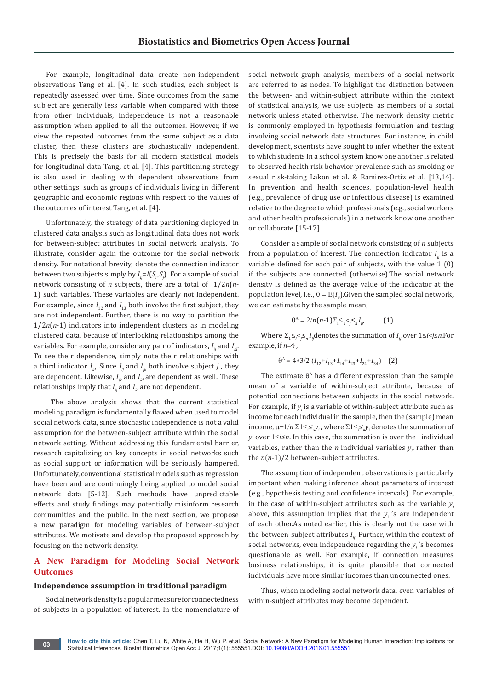For example, longitudinal data create non-independent observations Tang et al. [4]. In such studies, each subject is repeatedly assessed over time. Since outcomes from the same subject are generally less variable when compared with those from other individuals, independence is not a reasonable assumption when applied to all the outcomes. However, if we view the repeated outcomes from the same subject as a data cluster, then these clusters are stochastically independent. This is precisely the basis for all modern statistical models for longitudinal data Tang, et al. [4]. This partitioning strategy is also used in dealing with dependent observations from other settings, such as groups of individuals living in different geographic and economic regions with respect to the values of the outcomes of interest Tang, et al. [4].

Unfortunately, the strategy of data partitioning deployed in clustered data analysis such as longitudinal data does not work for between-subject attributes in social network analysis. To illustrate, consider again the outcome for the social network density. For notational brevity, denote the connection indicator between two subjects simply by  $I_{ij} = I(S_i, S_j)$ . For a sample of social network consisting of *n* subjects, there are a total of 1/2*n*(*n*-1) such variables. These variables are clearly not independent. For example, since  $I_{12}$  and  $I_{13}$  both involve the first subject, they are not independent. Further, there is no way to partition the 1/2*n*(*n*-1) indicators into independent clusters as in modeling clustered data, because of interlocking relationships among the variables. For example, consider any pair of indicators,  $I_{ij}$  and  $I_{ki}$ . To see their dependence, simply note their relationships with a third indicator  $I_{kl}$ . Since  $I_{ij}$  and  $I_{jk}$  both involve subject *j*, they are dependent. Likewise,  $I_{ik}$  and  $I_{kl}$  are dependent as well. These relationships imply that  $I_{ij}$  and  $I_{kl}$  are not dependent.

 The above analysis shows that the current statistical modeling paradigm is fundamentally flawed when used to model social network data, since stochastic independence is not a valid assumption for the between-subject attribute within the social network setting. Without addressing this fundamental barrier, research capitalizing on key concepts in social networks such as social support or information will be seriously hampered. Unfortunately, conventional statistical models such as regression have been and are continuingly being applied to model social network data [5-12]. Such methods have unpredictable effects and study findings may potentially misinform research communities and the public. In the next section, we propose a new paradigm for modeling variables of between-subject attributes. We motivate and develop the proposed approach by focusing on the network density.

# **A New Paradigm for Modeling Social Network Outcomes**

#### **Independence assumption in traditional paradigm**

Social network density is a popular measure for connectedness of subjects in a population of interest. In the nomenclature of social network graph analysis, members of a social network are referred to as nodes. To highlight the distinction between the between- and within-subject attribute within the context of statistical analysis, we use subjects as members of a social network unless stated otherwise. The network density metric is commonly employed in hypothesis formulation and testing involving social network data structures. For instance, in child development, scientists have sought to infer whether the extent to which students in a school system know one another is related to observed health risk behavior prevalence such as smoking or sexual risk-taking Lakon et al. & Ramirez-Ortiz et al. [13,14]. In prevention and health sciences, population-level health (e.g., prevalence of drug use or infectious disease) is examined relative to the degree to which professionals (e.g., social workers and other health professionals) in a network know one another or collaborate [15-17]

Consider a sample of social network consisting of *n* subjects from a population of interest. The connection indicator  $I_{ij}$  is a variable defined for each pair of subjects, with the value 1 (0) if the subjects are connected (otherwise).The social network density is defined as the average value of the indicator at the population level, i.e.,  $\theta = E(I_{ij})$ .Given the sampled social network, we can estimate by the sample mean,

$$
\Theta^{\Lambda} = 2/n(n-1)\Sigma_1 \leq \varsigma \leq_n I_{ij'} \tag{1}
$$

Where  $\sum_{i} \leq j \leq n$ , *I<sub>ij</sub>* denotes the summation of *I<sub>ij</sub>* over  $1 \leq i \leq j \leq n$ . For example, if *n=*4 ,

$$
\theta^{\Lambda} = 4*3/2 \left( I_{12} + I_{13} + I_{14} + I_{23} + I_{24} + I_{34} \right) \quad (2)
$$

The estimate  $\theta^{\Lambda}$  has a different expression than the sample mean of a variable of within-subject attribute, because of potential connections between subjects in the social network. For example, if  $y_i$  is a variable of within-subject attribute such as income for each individual in the sample, then the (sample) mean income,  $\mu$ =1/*n*  $\Sigma$ 1≤<sub>*i</sub>*<sup>*≤</sup><sub><i>n</sub>V*<sub>*i*</sub></sub> where  $\Sigma$ 1≤<sub>*i*</sub><sup>*≤<sub>n</sub>V<sub><i>i*</sub></sub> denotes the summation of</sub></sup></sup> *y<sub>i</sub>* over 1≤*i≤n*. In this case, the summation is over the individual variables, rather than the *n* individual variables  $y_p$  rather than the *n*(*n*-1)/2 between-subject attributes.

The assumption of independent observations is particularly important when making inference about parameters of interest (e.g., hypothesis testing and confidence intervals). For example, in the case of within-subject attributes such as the variable  $y_i$ above, this assumption implies that the  $y_i$ 's are independent of each other.As noted earlier, this is clearly not the case with the between-subject attributes  $I_{ij}$ . Further, within the context of social networks, even independence regarding the  $y_i$ 's becomes questionable as well. For example, if connection measures business relationships, it is quite plausible that connected individuals have more similar incomes than unconnected ones.

Thus, when modeling social network data, even variables of within-subject attributes may become dependent.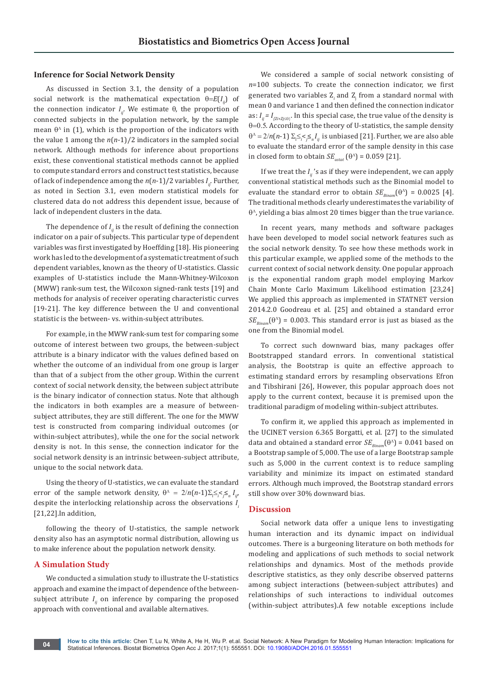## **Inference for Social Network Density**

As discussed in Section 3.1, the density of a population social network is the mathematical expectation  $\theta = E(I_{ij})$  of the connection indicator  $I_{ij}$ . We estimate  $\theta$ , the proportion of connected subjects in the population network, by the sample mean  $\theta^{\Lambda}$  in (1), which is the proportion of the indicators with the value 1 among the *n*(*n*-1)/2 indicators in the sampled social network. Although methods for inference about proportions exist, these conventional statistical methods cannot be applied to compute standard errors and construct test statistics, because of lack of independence among the  $n(n-1)/2$  variables  $I_{ij}$ . Further, as noted in Section 3.1, even modern statistical models for clustered data do not address this dependent issue, because of lack of independent clusters in the data.

The dependence of  $I_{ij}$  is the result of defining the connection indicator on a pair of subjects. This particular type of dependent variables was first investigated by Hoeffding [18]. His pioneering work has led to the development of a systematic treatment of such dependent variables, known as the theory of U-statistics. Classic examples of U-statistics include the Mann-Whitney-Wilcoxon (MWW) rank-sum test, the Wilcoxon signed-rank tests [19] and methods for analysis of receiver operating characteristic curves [19-21]. The key difference between the U and conventional statistic is the between- vs. within-subject attributes.

For example, in the MWW rank-sum test for comparing some outcome of interest between two groups, the between-subject attribute is a binary indicator with the values defined based on whether the outcome of an individual from one group is larger than that of a subject from the other group. Within the current context of social network density, the between subject attribute is the binary indicator of connection status. Note that although the indicators in both examples are a measure of betweensubject attributes, they are still different. The one for the MWW test is constructed from comparing individual outcomes (or within-subject attributes), while the one for the social network density is not. In this sense, the connection indicator for the social network density is an intrinsic between-subject attribute, unique to the social network data.

Using the theory of U-statistics, we can evaluate the standard error of the sample network density,  $\theta^{\Lambda} = 2/n(n-1)\sum_{i} \leq \leq \leq n I_{ij}$ despite the interlocking relationship across the observations *I i*  [21,22].In addition,

following the theory of U-statistics, the sample network density also has an asymptotic normal distribution, allowing us to make inference about the population network density.

## **A Simulation Study**

We conducted a simulation study to illustrate the U-statistics approach and examine the impact of dependence of the betweensubject attribute  $I_{ij}$  on inference by comparing the proposed approach with conventional and available alternatives.

We considered a sample of social network consisting of *n*=100 subjects. To create the connection indicator, we first generated two variables  $\mathbf{Z}_i$  and  $\mathbf{Z}_j$  from a standard normal with mean 0 and variance 1 and then defined the connection indicator as:  $I_{ij}$  =  $I_{(Zi+Zj\leq 0)}$ . In this special case, the true value of the density is  $\theta$ =0.5. According to the theory of U-statistics, the sample density  $\theta^{\Lambda} = 2/n(n-1) \sum_{i \leq j \leq n} I_{ij}$  is unbiased [21]. Further, we are also able to evaluate the standard error of the sample density in this case in closed form to obtain  $SE_{\text{ustat}}(\theta^{\text{A}}) = 0.059$  [21].

If we treat the  $I_{ij}$ 's as if they were independent, we can apply conventional statistical methods such as the Binomial model to evaluate the standard error to obtain  $SE_{Bion}(\theta^{\Lambda}) = 0.0025$  [4]. The traditional methods clearly underestimates the variability of  $\theta^{\Lambda}$ , yielding a bias almost 20 times bigger than the true variance.

In recent years, many methods and software packages have been developed to model social network features such as the social network density. To see how these methods work in this particular example, we applied some of the methods to the current context of social network density. One popular approach is the exponential random graph model employing Markov Chain Monte Carlo Maximum Likelihood estimation [23,24] We applied this approach as implemented in STATNET version 2014.2.0 Goodreau et al. [25] and obtained a standard error  $SE_{p_{\text{linear}}}(\theta^{\text{A}}) = 0.003$ . This standard error is just as biased as the one from the Binomial model.

To correct such downward bias, many packages offer Bootstrapped standard errors. In conventional statistical analysis, the Bootstrap is quite an effective approach to estimating standard errors by resampling observations Efron and Tibshirani [26], However, this popular approach does not apply to the current context, because it is premised upon the traditional paradigm of modeling within-subject attributes.

To confirm it, we applied this approach as implemented in the UCINET version 6.365 Borgatti, et al. [27] to the simulated data and obtained a standard error  $SE_{Bingm}(\theta^{\Lambda}) = 0.041$  based on a Bootstrap sample of 5,000. The use of a large Bootstrap sample such as 5,000 in the current context is to reduce sampling variability and minimize its impact on estimated standard errors. Although much improved, the Bootstrap standard errors still show over 30% downward bias.

#### **Discussion**

Social network data offer a unique lens to investigating human interaction and its dynamic impact on individual outcomes. There is a burgeoning literature on both methods for modeling and applications of such methods to social network relationships and dynamics. Most of the methods provide descriptive statistics, as they only describe observed patterns among subject interactions (between-subject attributes) and relationships of such interactions to individual outcomes (within-subject attributes).A few notable exceptions include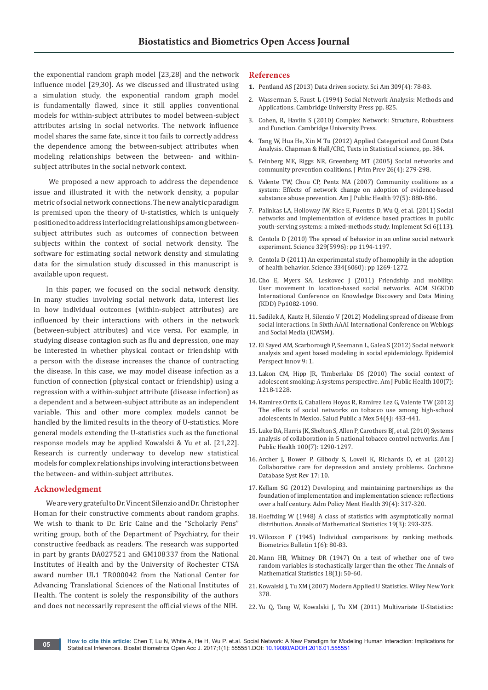the exponential random graph model [23,28] and the network influence model [29,30]. As we discussed and illustrated using a simulation study, the exponential random graph model is fundamentally flawed, since it still applies conventional models for within-subject attributes to model between-subject attributes arising in social networks. The network influence model shares the same fate, since it too fails to correctly address the dependence among the between-subject attributes when modeling relationships between the between- and withinsubject attributes in the social network context.

 We proposed a new approach to address the dependence issue and illustrated it with the network density, a popular metric of social network connections. The new analytic paradigm is premised upon the theory of U-statistics, which is uniquely positioned to address interlocking relationships among betweensubject attributes such as outcomes of connection between subjects within the context of social network density. The software for estimating social network density and simulating data for the simulation study discussed in this manuscript is available upon request.

In this paper, we focused on the social network density. In many studies involving social network data, interest lies in how individual outcomes (within-subject attributes) are influenced by their interactions with others in the network (between-subject attributes) and vice versa. For example, in studying disease contagion such as flu and depression, one may be interested in whether physical contact or friendship with a person with the disease increases the chance of contracting the disease. In this case, we may model disease infection as a function of connection (physical contact or friendship) using a regression with a within-subject attribute (disease infection) as a dependent and a between-subject attribute as an independent variable. This and other more complex models cannot be handled by the limited results in the theory of U-statistics. More general models extending the U-statistics such as the functional response models may be applied Kowalski & Yu et al. [21,22]. Research is currently underway to develop new statistical models for complex relationships involving interactions between the between- and within-subject attributes.

### **Acknowledgment**

We are very grateful to Dr. Vincent Silenzio and Dr. Christopher Homan for their constructive comments about random graphs. We wish to thank to Dr. Eric Caine and the "Scholarly Pens" writing group, both of the Department of Psychiatry, for their constructive feedback as readers. The research was supported in part by grants DA027521 and GM108337 from the National Institutes of Health and by the University of Rochester CTSA award number UL1 TR000042 from the National Center for Advancing Translational Sciences of the National Institutes of Health. The content is solely the responsibility of the authors and does not necessarily represent the official views of the NIH.

#### **References**

- **1.** [Pentland AS \(2013\) Data driven society. Sci Am 309\(4\): 78-83.](https://www.ncbi.nlm.nih.gov/pubmed/24137860)
- 2. [Wasserman S, Faust L \(1994\) Social Network Analysis: Methods and](https://books.google.co.in/books/about/Social_Network_Analysis.html?id=CAm2DpIqRUIC&redir_esc=y)  [Applications. Cambridge University Press pp. 825.](https://books.google.co.in/books/about/Social_Network_Analysis.html?id=CAm2DpIqRUIC&redir_esc=y)
- 3. [Cohen, R, Havlin S \(2010\) Complex Network: Structure, Robustness](https://www.researchgate.net/publication/258100764_Complex_Networks_Structure_Robustness_and_Function)  [and Function. Cambridge University Press.](https://www.researchgate.net/publication/258100764_Complex_Networks_Structure_Robustness_and_Function)
- 4. [Tang W, Hua He, Xin M Tu \(2012\) Applied Categorical and Count Data](https://www.crcpress.com/Applied-Categorical-and-Count-Data-Analysis/Tang-He-Tu/p/book/9781439806241)  [Analysis. Chapman & Hall/CRC, Texts in Statistical science, pp. 384.](https://www.crcpress.com/Applied-Categorical-and-Count-Data-Analysis/Tang-He-Tu/p/book/9781439806241)
- 5. [Feinberg ME, Riggs NR, Greenberg MT \(2005\) Social networks and](https://www.ncbi.nlm.nih.gov/pubmed/15995800)  [community prevention coalitions. J Prim Prev 26\(4\): 279-298.](https://www.ncbi.nlm.nih.gov/pubmed/15995800)
- 6. [Valente TW, Chou CP, Pentz MA \(2007\) Community coalitions as a](https://www.ncbi.nlm.nih.gov/pmc/articles/PMC1854884/)  [system: Effects of network change on adoption of evidence-based](https://www.ncbi.nlm.nih.gov/pmc/articles/PMC1854884/)  [substance abuse prevention. Am J Public Health 97\(5\): 880-886.](https://www.ncbi.nlm.nih.gov/pmc/articles/PMC1854884/)
- 7. [Palinkas LA, Holloway IW, Rice E, Fuentes D, Wu Q, et al. \(2011\) Social](https://implementationscience.biomedcentral.com/articles/10.1186/1748-5908-6-113)  [networks and implementation of evidence based practices in public](https://implementationscience.biomedcentral.com/articles/10.1186/1748-5908-6-113)  [youth-serving systems: a mixed-methods study. Implement Sci 6\(113\).](https://implementationscience.biomedcentral.com/articles/10.1186/1748-5908-6-113)
- 8. [Centola D \(2010\) The spread of behavior in an online social network](http://science.sciencemag.org/content/329/5996/1194)  [experiment. Science 329\(5996\): pp 1194-1197.](http://science.sciencemag.org/content/329/5996/1194)
- 9. [Centola D \(2011\) An experimental study of homophily in the adoption](http://science.sciencemag.org/content/334/6060/1269)  [of health behavior. Science 334\(6060\): pp 1269-1272.](http://science.sciencemag.org/content/334/6060/1269)
- 10. [Cho E, Myers SA, Leskovec J \(2011\) Friendship and mobility:](http://dl.acm.org/citation.cfm?id=2020579)  [User movement in location-based social networks. ACM SIGKDD](http://dl.acm.org/citation.cfm?id=2020579)  [International Conference on Knowledge Discovery and Data Mining](http://dl.acm.org/citation.cfm?id=2020579)  [\(KDD\) Pp1082-1090.](http://dl.acm.org/citation.cfm?id=2020579)
- 11. [Sadilek A, Kautz H, Silenzio V \(2012\) Modeling spread of disease from](http://www.aaai.org/ocs/index.php/ICWSM/ICWSM12/paper/view/4493)  [social interactions. In Sixth AAAI International Conference on Weblogs](http://www.aaai.org/ocs/index.php/ICWSM/ICWSM12/paper/view/4493)  [and Social Media \(ICWSM\).](http://www.aaai.org/ocs/index.php/ICWSM/ICWSM12/paper/view/4493)
- 12. [El Sayed AM, Scarborough P, Seemann L, Galea S \(2012\) Social network](https://www.ncbi.nlm.nih.gov/pmc/articles/PMC3395878/)  [analysis and agent based modeling in social epidemiology. Epidemiol](https://www.ncbi.nlm.nih.gov/pmc/articles/PMC3395878/)  [Perspect Innov 9: 1.](https://www.ncbi.nlm.nih.gov/pmc/articles/PMC3395878/)
- 13. [Lakon CM, Hipp JR, Timberlake DS \(2010\) The social context of](https://www.ncbi.nlm.nih.gov/pmc/articles/PMC2882398/)  [adolescent smoking: A systems perspective. Am J Public Health 100\(7\):](https://www.ncbi.nlm.nih.gov/pmc/articles/PMC2882398/)  [1218-1228.](https://www.ncbi.nlm.nih.gov/pmc/articles/PMC2882398/)
- 14. [Ramirez Ortiz G, Caballero Hoyos R, Ramirez Lez G, Valente TW \(2012\)](https://www.ncbi.nlm.nih.gov/pubmed/22832836)  [The effects of social networks on tobacco use among high-school](https://www.ncbi.nlm.nih.gov/pubmed/22832836)  [adolescents in Mexico. Salud Public a Mex 54\(4\): 433-441.](https://www.ncbi.nlm.nih.gov/pubmed/22832836)
- 15. [Luke DA, Harris JK, Shelton S, Allen P, Carothers BJ, et al. \(2010\) Systems](https://www.ncbi.nlm.nih.gov/pmc/articles/PMC2882404/)  [analysis of collaboration in 5 national tobacco control networks. Am J](https://www.ncbi.nlm.nih.gov/pmc/articles/PMC2882404/)  [Public Health 100\(7\): 1290-1297.](https://www.ncbi.nlm.nih.gov/pmc/articles/PMC2882404/)
- 16. [Archer J, Bower P, Gilbody S, Lovell K, Richards D, et al. \(2012\)](https://www.ncbi.nlm.nih.gov/pubmed/23076925)  [Collaborative care for depression and anxiety problems. Cochrane](https://www.ncbi.nlm.nih.gov/pubmed/23076925)  [Database Syst Rev 17: 10.](https://www.ncbi.nlm.nih.gov/pubmed/23076925)
- 17. [Kellam SG \(2012\) Developing and maintaining partnerships as the](https://www.ncbi.nlm.nih.gov/pubmed/22240938)  [foundation of implementation and implementation science: reflections](https://www.ncbi.nlm.nih.gov/pubmed/22240938)  [over a half century. Adm Policy Ment Health 39\(4\): 317-320.](https://www.ncbi.nlm.nih.gov/pubmed/22240938)
- 18. Hoeffding W (1948) A class of statistics with asymptotically normal distribution. Annals of Mathematical Statistics 19(3): 293-325.
- 19. [Wilcoxon F \(1945\) Individual comparisons by ranking methods.](http://sci2s.ugr.es/keel/pdf/algorithm/articulo/wilcoxon1945.pdf)  [Biometrics Bulletin 1\(6\): 80-83.](http://sci2s.ugr.es/keel/pdf/algorithm/articulo/wilcoxon1945.pdf)
- 20. [Mann HB, Whitney DR \(1947\) On a test of whether one of two](https://projecteuclid.org/euclid.aoms/1177730491)  [random variables is stochastically larger than the other. The Annals of](https://projecteuclid.org/euclid.aoms/1177730491)  [Mathematical Statistics 18\(1\): 50-60.](https://projecteuclid.org/euclid.aoms/1177730491)
- 21. [Kowalski J, Tu XM \(2007\) Modern Applied U Statistics. Wiley New York](http://as.wiley.com/WileyCDA/WileyTitle/productCd-0471682276.html)  [378.](http://as.wiley.com/WileyCDA/WileyTitle/productCd-0471682276.html)
- 22. [Yu Q, Tang W, Kowalski J, Tu XM \(2011\) Multivariate U-Statistics:](http://onlinelibrary.wiley.com/doi/10.1002/wics.178/abstract;jsessionid=B870B3BCB76A26B4C195FD9B306FEF1E.f04t01?userIsAuthenticated=false&deniedAccessCustomisedMessage=)